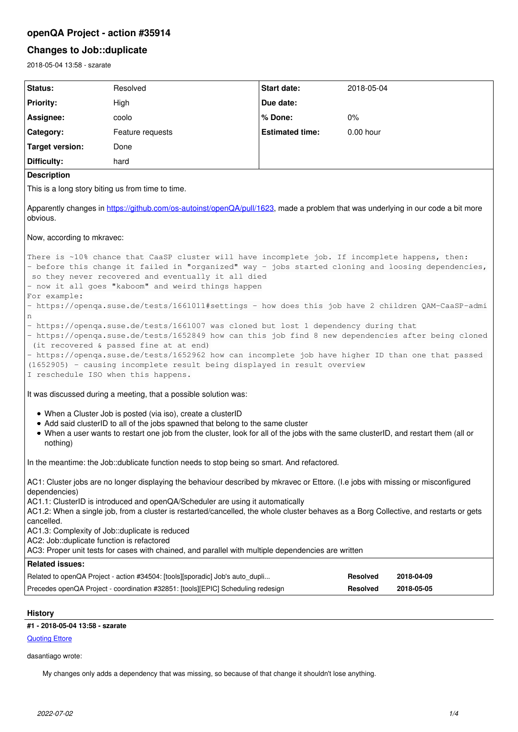# **openQA Project - action #35914**

## **Changes to Job::duplicate**

2018-05-04 13:58 - szarate

| Status:                                                                                                                                                                                                                                                                                                                                                                                                                                                     | Resolved                                                                         | Start date:            | 2018-05-04      |            |
|-------------------------------------------------------------------------------------------------------------------------------------------------------------------------------------------------------------------------------------------------------------------------------------------------------------------------------------------------------------------------------------------------------------------------------------------------------------|----------------------------------------------------------------------------------|------------------------|-----------------|------------|
| <b>Priority:</b>                                                                                                                                                                                                                                                                                                                                                                                                                                            | High                                                                             | Due date:              |                 |            |
| Assignee:                                                                                                                                                                                                                                                                                                                                                                                                                                                   | coolo                                                                            | % Done:                | $0\%$           |            |
| Category:                                                                                                                                                                                                                                                                                                                                                                                                                                                   | Feature requests                                                                 | <b>Estimated time:</b> | $0.00$ hour     |            |
| <b>Target version:</b>                                                                                                                                                                                                                                                                                                                                                                                                                                      | Done                                                                             |                        |                 |            |
| Difficulty:                                                                                                                                                                                                                                                                                                                                                                                                                                                 | hard                                                                             |                        |                 |            |
| <b>Description</b>                                                                                                                                                                                                                                                                                                                                                                                                                                          |                                                                                  |                        |                 |            |
| This is a long story biting us from time to time.                                                                                                                                                                                                                                                                                                                                                                                                           |                                                                                  |                        |                 |            |
| Apparently changes in https://github.com/os-autoinst/openQA/pull/1623, made a problem that was underlying in our code a bit more<br>obvious.                                                                                                                                                                                                                                                                                                                |                                                                                  |                        |                 |            |
| Now, according to mkravec:                                                                                                                                                                                                                                                                                                                                                                                                                                  |                                                                                  |                        |                 |            |
| There is ~10% chance that CaaSP cluster will have incomplete job. If incomplete happens, then:<br>- before this change it failed in "organized" way - jobs started cloning and loosing dependencies,<br>so they never recovered and eventually it all died<br>- now it all goes "kaboom" and weird things happen<br>For example:                                                                                                                            |                                                                                  |                        |                 |            |
| - https://openqa.suse.de/tests/1661011#settings - how does this job have 2 children QAM-CaaSP-admi<br>n                                                                                                                                                                                                                                                                                                                                                     |                                                                                  |                        |                 |            |
| - https://openqa.suse.de/tests/1661007 was cloned but lost 1 dependency during that<br>- https://openqa.suse.de/tests/1652849 how can this job find 8 new dependencies after being cloned<br>(it recovered & passed fine at at end)<br>- https://openqa.suse.de/tests/1652962 how can incomplete job have higher ID than one that passed<br>(1652905) - causing incomplete result being displayed in result overview<br>I reschedule ISO when this happens. |                                                                                  |                        |                 |            |
| It was discussed during a meeting, that a possible solution was:                                                                                                                                                                                                                                                                                                                                                                                            |                                                                                  |                        |                 |            |
| • When a Cluster Job is posted (via iso), create a clusterID<br>• Add said clusterID to all of the jobs spawned that belong to the same cluster<br>• When a user wants to restart one job from the cluster, look for all of the jobs with the same clusterID, and restart them (all or<br>nothing)                                                                                                                                                          |                                                                                  |                        |                 |            |
| In the meantime: the Job::dublicate function needs to stop being so smart. And refactored.                                                                                                                                                                                                                                                                                                                                                                  |                                                                                  |                        |                 |            |
| AC1: Cluster jobs are no longer displaying the behaviour described by mkravec or Ettore. (I.e jobs with missing or misconfigured<br>dependencies)<br>AC1.1: ClusterID is introduced and openQA/Scheduler are using it automatically                                                                                                                                                                                                                         |                                                                                  |                        |                 |            |
| AC1.2: When a single job, from a cluster is restarted/cancelled, the whole cluster behaves as a Borg Collective, and restarts or gets<br>cancelled.                                                                                                                                                                                                                                                                                                         |                                                                                  |                        |                 |            |
| AC1.3: Complexity of Job::duplicate is reduced                                                                                                                                                                                                                                                                                                                                                                                                              |                                                                                  |                        |                 |            |
| AC2: Job::duplicate function is refactored<br>AC3: Proper unit tests for cases with chained, and parallel with multiple dependencies are written                                                                                                                                                                                                                                                                                                            |                                                                                  |                        |                 |            |
| <b>Related issues:</b>                                                                                                                                                                                                                                                                                                                                                                                                                                      |                                                                                  |                        |                 |            |
|                                                                                                                                                                                                                                                                                                                                                                                                                                                             | Related to openQA Project - action #34504: [tools][sporadic] Job's auto_dupli    |                        | <b>Resolved</b> | 2018-04-09 |
|                                                                                                                                                                                                                                                                                                                                                                                                                                                             | Precedes openQA Project - coordination #32851: [tools][EPIC] Scheduling redesign |                        | <b>Resolved</b> | 2018-05-05 |
|                                                                                                                                                                                                                                                                                                                                                                                                                                                             |                                                                                  |                        |                 |            |

## **History**

## **#1 - 2018-05-04 13:58 - szarate**

## **[Quoting Ettore](https://progress.opensuse.org/issues/34504#note-22)**

dasantiago wrote:

My changes only adds a dependency that was missing, so because of that change it shouldn't lose anything.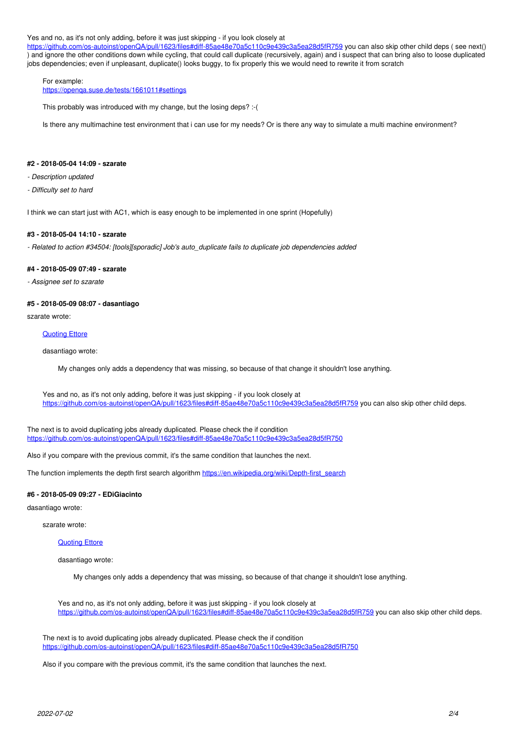#### Yes and no, as it's not only adding, before it was just skipping - if you look closely at

<https://github.com/os-autoinst/openQA/pull/1623/files#diff-85ae48e70a5c110c9e439c3a5ea28d5fR759> you can also skip other child deps ( see next() ) and ignore the other conditions down while cycling, that could call duplicate (recursively, again) and i suspect that can bring also to loose duplicated jobs dependencies; even if unpleasant, duplicate() looks buggy, to fix properly this we would need to rewrite it from scratch

### For example:

<https://openqa.suse.de/tests/1661011#settings>

This probably was introduced with my change, but the losing deps? :-(

Is there any multimachine test environment that i can use for my needs? Or is there any way to simulate a multi machine environment?

#### **#2 - 2018-05-04 14:09 - szarate**

- *Description updated*
- *Difficulty set to hard*

I think we can start just with AC1, which is easy enough to be implemented in one sprint (Hopefully)

#### **#3 - 2018-05-04 14:10 - szarate**

*- Related to action #34504: [tools][sporadic] Job's auto\_duplicate fails to duplicate job dependencies added*

#### **#4 - 2018-05-09 07:49 - szarate**

*- Assignee set to szarate*

### **#5 - 2018-05-09 08:07 - dasantiago**

szarate wrote:

#### [Quoting Ettore](https://progress.opensuse.org/issues/34504#note-22)

dasantiago wrote:

My changes only adds a dependency that was missing, so because of that change it shouldn't lose anything.

Yes and no, as it's not only adding, before it was just skipping - if you look closely at <https://github.com/os-autoinst/openQA/pull/1623/files#diff-85ae48e70a5c110c9e439c3a5ea28d5fR759>you can also skip other child deps.

The next is to avoid duplicating jobs already duplicated. Please check the if condition <https://github.com/os-autoinst/openQA/pull/1623/files#diff-85ae48e70a5c110c9e439c3a5ea28d5fR750>

Also if you compare with the previous commit, it's the same condition that launches the next.

The function implements the depth first search algorithm [https://en.wikipedia.org/wiki/Depth-first\\_search](https://en.wikipedia.org/wiki/Depth-first_search)

#### **#6 - 2018-05-09 09:27 - EDiGiacinto**

dasantiago wrote:

szarate wrote:

### [Quoting Ettore](https://progress.opensuse.org/issues/34504#note-22)

dasantiago wrote:

My changes only adds a dependency that was missing, so because of that change it shouldn't lose anything.

Yes and no, as it's not only adding, before it was just skipping - if you look closely at <https://github.com/os-autoinst/openQA/pull/1623/files#diff-85ae48e70a5c110c9e439c3a5ea28d5fR759>you can also skip other child deps.

The next is to avoid duplicating jobs already duplicated. Please check the if condition <https://github.com/os-autoinst/openQA/pull/1623/files#diff-85ae48e70a5c110c9e439c3a5ea28d5fR750>

Also if you compare with the previous commit, it's the same condition that launches the next.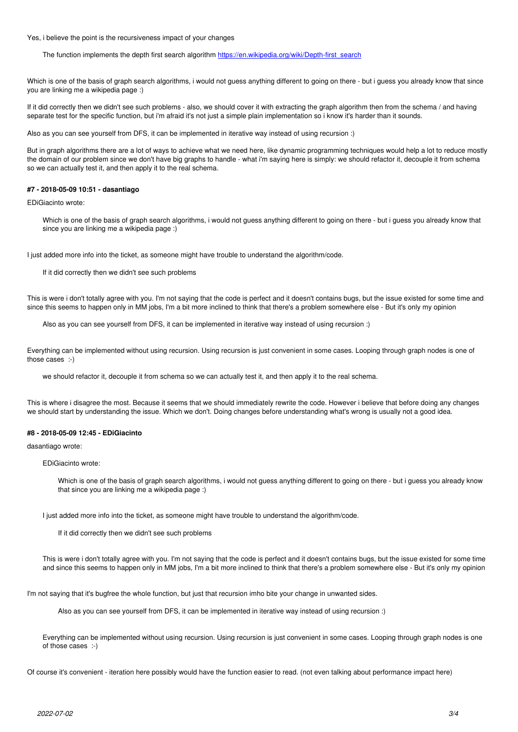Yes, i believe the point is the recursiveness impact of your changes

The function implements the depth first search algorithm [https://en.wikipedia.org/wiki/Depth-first\\_search](https://en.wikipedia.org/wiki/Depth-first_search)

Which is one of the basis of graph search algorithms, i would not guess anything different to going on there - but i guess you already know that since you are linking me a wikipedia page :)

If it did correctly then we didn't see such problems - also, we should cover it with extracting the graph algorithm then from the schema / and having separate test for the specific function, but i'm afraid it's not just a simple plain implementation so i know it's harder than it sounds.

Also as you can see yourself from DFS, it can be implemented in iterative way instead of using recursion :)

But in graph algorithms there are a lot of ways to achieve what we need here, like dynamic programming techniques would help a lot to reduce mostly the domain of our problem since we don't have big graphs to handle - what i'm saying here is simply: we should refactor it, decouple it from schema so we can actually test it, and then apply it to the real schema.

#### **#7 - 2018-05-09 10:51 - dasantiago**

EDiGiacinto wrote:

Which is one of the basis of graph search algorithms, i would not guess anything different to going on there - but i guess you already know that since you are linking me a wikipedia page :)

I just added more info into the ticket, as someone might have trouble to understand the algorithm/code.

If it did correctly then we didn't see such problems

This is were i don't totally agree with you. I'm not saying that the code is perfect and it doesn't contains bugs, but the issue existed for some time and since this seems to happen only in MM jobs, I'm a bit more inclined to think that there's a problem somewhere else - But it's only my opinion

Also as you can see yourself from DFS, it can be implemented in iterative way instead of using recursion :)

Everything can be implemented without using recursion. Using recursion is just convenient in some cases. Looping through graph nodes is one of those cases :-)

we should refactor it, decouple it from schema so we can actually test it, and then apply it to the real schema.

This is where i disagree the most. Because it seems that we should immediately rewrite the code. However i believe that before doing any changes we should start by understanding the issue. Which we don't. Doing changes before understanding what's wrong is usually not a good idea.

### **#8 - 2018-05-09 12:45 - EDiGiacinto**

dasantiago wrote:

EDiGiacinto wrote:

Which is one of the basis of graph search algorithms, i would not guess anything different to going on there - but i guess you already know that since you are linking me a wikipedia page :)

I just added more info into the ticket, as someone might have trouble to understand the algorithm/code.

If it did correctly then we didn't see such problems

This is were i don't totally agree with you. I'm not saying that the code is perfect and it doesn't contains bugs, but the issue existed for some time and since this seems to happen only in MM jobs, I'm a bit more inclined to think that there's a problem somewhere else - But it's only my opinion

I'm not saying that it's bugfree the whole function, but just that recursion imho bite your change in unwanted sides.

Also as you can see yourself from DFS, it can be implemented in iterative way instead of using recursion :)

Everything can be implemented without using recursion. Using recursion is just convenient in some cases. Looping through graph nodes is one of those cases :-)

Of course it's convenient - iteration here possibly would have the function easier to read. (not even talking about performance impact here)